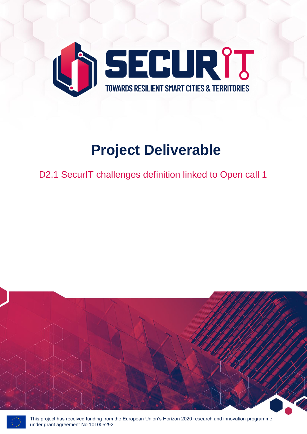

# **Project Deliverable**

D2.1 SecurlT challenges definition linked to Open call 1





This project has received funding from the European Union's Horizon 2020 research and innovation programme under grant agreement No 101005292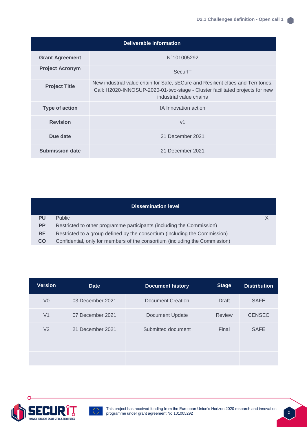| <b>Deliverable information</b> |                                                                                                                                                                                              |  |  |  |  |
|--------------------------------|----------------------------------------------------------------------------------------------------------------------------------------------------------------------------------------------|--|--|--|--|
| <b>Grant Agreement</b>         | N°101005292                                                                                                                                                                                  |  |  |  |  |
| <b>Project Acronym</b>         | SecurlT                                                                                                                                                                                      |  |  |  |  |
| <b>Project Title</b>           | New industrial value chain for Safe, sECure and Resilient clties and Territories.<br>Call: H2020-INNOSUP-2020-01-two-stage - Cluster facilitated projects for new<br>industrial value chains |  |  |  |  |
| <b>Type of action</b>          | <b>IA Innovation action</b>                                                                                                                                                                  |  |  |  |  |
| <b>Revision</b>                | V <sub>1</sub>                                                                                                                                                                               |  |  |  |  |
| Due date                       | 31 December 2021                                                                                                                                                                             |  |  |  |  |
| Submission date                | 21 December 2021                                                                                                                                                                             |  |  |  |  |

| <b>Dissemination level</b> |                                                                             |  |  |  |  |
|----------------------------|-----------------------------------------------------------------------------|--|--|--|--|
| <b>PU</b>                  | <b>Public</b>                                                               |  |  |  |  |
| <b>PP</b>                  | Restricted to other programme participants (including the Commission)       |  |  |  |  |
| <b>RE</b>                  | Restricted to a group defined by the consortium (including the Commission)  |  |  |  |  |
| <b>CO</b>                  | Confidential, only for members of the consortium (including the Commission) |  |  |  |  |

| <b>Version</b> | <b>Date</b>      | <b>Document history</b> | <b>Stage</b>  | <b>Distribution</b> |
|----------------|------------------|-------------------------|---------------|---------------------|
| V <sub>0</sub> | 03 December 2021 | Document Creation       | <b>Draft</b>  | <b>SAFE</b>         |
| V <sub>1</sub> | 07 December 2021 | <b>Document Update</b>  | <b>Review</b> | <b>CENSEC</b>       |
| V <sub>2</sub> | 21 December 2021 | Submitted document      | Final         | <b>SAFE</b>         |
|                |                  |                         |               |                     |
|                |                  |                         |               |                     |

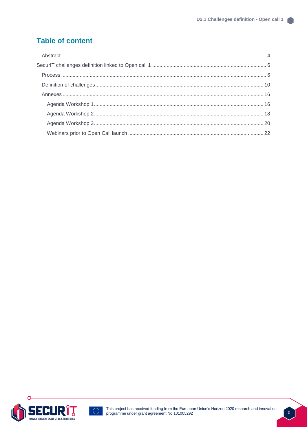### **Table of content**





 $\frac{3}{2}$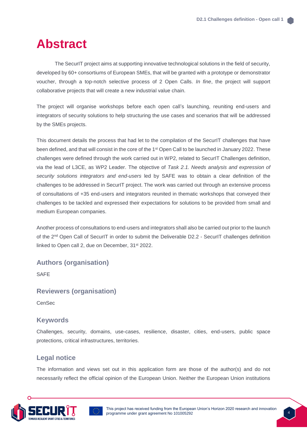# <span id="page-3-0"></span>**Abstract**

The SecurIT project aims at supporting innovative technological solutions in the field of security, developed by 60+ consortiums of European SMEs, that will be granted with a prototype or demonstrator voucher, through a top-notch selective process of 2 Open Calls. *In fine*, the project will support collaborative projects that will create a new industrial value chain.

The project will organise workshops before each open call's launching, reuniting end-users and integrators of security solutions to help structuring the use cases and scenarios that will be addressed by the SMEs projects.

This document details the process that had let to the compilation of the SecurIT challenges that have been defined, and that will consist in the core of the 1<sup>st</sup> Open Call to be launched in January 2022. These challenges were defined through the work carried out in WP2, related to SecurIT Challenges definition, via the lead of L3CE, as WP2 Leader. The objective of *Task 2.1. Needs analysis and expression of security solutions integrators and end-users* led by SAFE was to obtain a clear definition of the challenges to be addressed in SecurIT project. The work was carried out through an extensive process of consultations of +35 end-users and integrators reunited in thematic workshops that conveyed their challenges to be tackled and expressed their expectations for solutions to be provided from small and medium European companies.

Another process of consultations to end-users and integrators shall also be carried out prior to the launch of the 2<sup>nd</sup> Open Call of SecurIT in order to submit the Deliverable D2.2 - SecurIT challenges definition linked to Open call 2, due on December, 31<sup>st</sup> 2022.

#### **Authors (organisation)**

**SAFF** 

#### **Reviewers (organisation)**

**CenSec** 

#### **Keywords**

Challenges, security, domains, use-cases, resilience, disaster, cities, end-users, public space protections, critical infrastructures, territories.

#### **Legal notice**

The information and views set out in this application form are those of the author(s) and do not necessarily reflect the official opinion of the European Union. Neither the European Union institutions

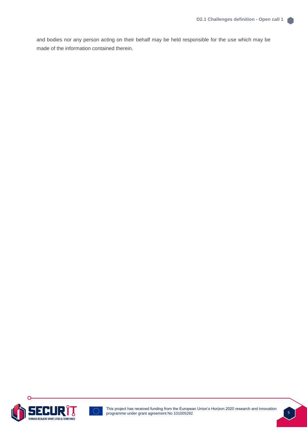and bodies nor any person acting on their behalf may be held responsible for the use which may be made of the information contained therein.

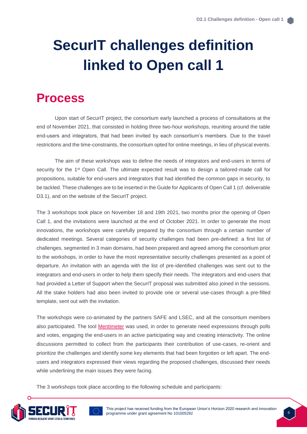# <span id="page-5-0"></span>**SecurIT challenges definition linked to Open call 1**

## <span id="page-5-1"></span>**Process**

Upon start of SecurIT project, the consortium early launched a process of consultations at the end of November 2021, that consisted in holding three two-hour workshops, reuniting around the table end-users and integrators, that had been invited by each consortium's members. Due to the travel restrictions and the time-constraints, the consortium opted for online meetings, in lieu of physical events.

The aim of these workshops was to define the needs of integrators and end-users in terms of security for the 1<sup>st</sup> Open Call. The ultimate expected result was to design a tailored-made call for propositions, suitable for end-users and integrators that had identified the common gaps in security, to be tackled. These challenges are to be inserted in the Guide for Applicants of Open Call 1 (cf. deliverable D3.1), and on the website of the SecurIT project.

The 3 workshops took place on November 18 and 19th 2021, two months prior the opening of Open Call 1, and the invitations were launched at the end of October 2021. In order to generate the most innovations, the workshops were carefully prepared by the consortium through a certain number of dedicated meetings. Several categories of security challenges had been pre-defined: a first list of challenges, segmented in 3 main domains, had been prepared and agreed among the consortium prior to the workshops, in order to have the most representative security challenges presented as a point of departure. An invitation with an agenda with the list of pre-identified challenges was sent out to the integrators and end-users in order to help them specify their needs. The integrators and end-users that had provided a Letter of Support when the SecurIT proposal was submitted also joined in the sessions. All the stake holders had also been invited to provide one or several use-cases through a pre-filled template, sent out with the invitation.

The workshops were co-animated by the partners SAFE and LSEC, and all the consortium members also participated. The tool [Mentimeter](https://www.mentimeter.com/) was used, in order to generate need expressions through polls and votes, engaging the end-users in an active participating way and creating interactivity. The online discussions permitted to collect from the participants their contribution of use-cases, re-orient and prioritize the challenges and identify some key elements that had been forgotten or left apart. The endusers and integrators expressed their views regarding the proposed challenges, discussed their needs while underlining the main issues they were facing.

The 3 workshops took place according to the following schedule and participants:

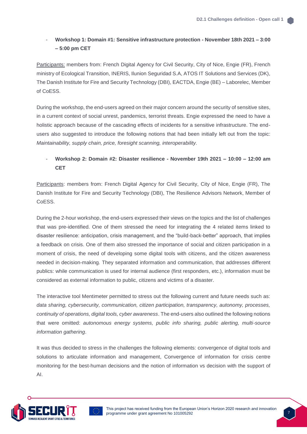#### - **Workshop 1: Domain #1: Sensitive infrastructure protection - November 18th 2021 – 3:00 – 5:00 pm CET**

Participants: members from: French Digital Agency for Civil Security, City of Nice, Engie (FR), French ministry of Ecological Transition, INERIS, Ilunion Seguridad S.A, ATOS IT Solutions and Services (DK), The Danish Institute for Fire and Security Technology (DBI), EACTDA, Engie (BE) – Laborelec, Member of CoESS.

During the workshop, the end-users agreed on their major concern around the security of sensitive sites, in a current context of social unrest, pandemics, terrorist threats. Engie expressed the need to have a holistic approach because of the cascading effects of incidents for a sensitive infrastructure. The endusers also suggested to introduce the following notions that had been initially left out from the topic: *Maintainability, supply chain, price, foresight scanning, interoperability.*

#### - **Workshop 2: Domain #2: Disaster resilience - November 19th 2021 – 10:00 – 12:00 am CET**

Participants: members from: French Digital Agency for Civil Security, City of Nice, Engie (FR), The Danish Institute for Fire and Security Technology (DBI), The Resilience Advisors Network, Member of CoESS.

During the 2-hour workshop, the end-users expressed their views on the topics and the list of challenges that was pre-identified. One of them stressed the need for integrating the 4 related items linked to disaster resilience: anticipation, crisis management, and the "build-back-better" approach, that implies a feedback on crisis. One of them also stressed the importance of social and citizen participation in a moment of crisis, the need of developing some digital tools with citizens, and the citizen awareness needed in decision-making. They separated information and communication, that addresses different publics: while communication is used for internal audience (first responders, etc.), information must be considered as external information to public, citizens and victims of a disaster.

The interactive tool Mentimeter permitted to stress out the following current and future needs such as: *data sharing, cybersecurity, communication, citizen participation, transparency, autonomy, processes, continuity of operations, digital tools, cyber awareness*. The end-users also outlined the following notions that were omitted: *autonomous energy systems, public info sharing, public alerting, multi-source information gathering*.

It was thus decided to stress in the challenges the following elements: convergence of digital tools and solutions to articulate information and management, Convergence of information for crisis centre monitoring for the best-human decisions and the notion of information vs decision with the support of AI.

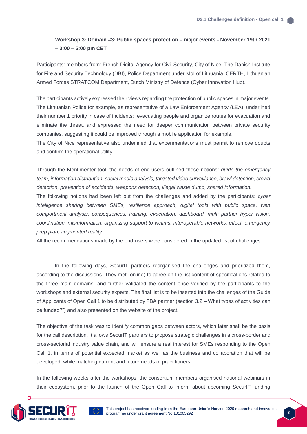#### - **Workshop 3: Domain #3: Public spaces protection – major events - November 19th 2021 – 3:00 – 5:00 pm CET**

Participants: members from: French Digital Agency for Civil Security, City of Nice, The Danish Institute for Fire and Security Technology (DBI), Police Department under MoI of Lithuania, CERTH, Lithuanian Armed Forces STRATCOM Department, Dutch Ministry of Defence (Cyber Innovation Hub).

The participants actively expressed their views regarding the protection of public spaces in major events. The Lithuanian Police for example, as representative of a Law Enforcement Agency (LEA), underlined their number 1 priority in case of incidents: evacuating people and organize routes for evacuation and eliminate the threat, and expressed the need for deeper communication between private security companies, suggesting it could be improved through a mobile application for example.

The City of Nice representative also underlined that experimentations must permit to remove doubts and confirm the operational utility.

Through the Mentimenter tool, the needs of end-users outlined these notions: *guide the emergency team, information distribution, social media analysis, targeted video surveillance, brawl detection, crowd detection, prevention of accidents, weapons detection, illegal waste dump, shared information.*

The following notions had been left out from the challenges and added by the participants: *cyber*  intelligence sharing between SMEs, resilience approach, digital tools with public space, web *comportment analysis, consequences, training, evacuation, dashboard, multi partner hyper vision, coordination, misinformation, organizing support to victims, interoperable networks, effect, emergency prep plan, augmented reality*.

All the recommendations made by the end-users were considered in the updated list of challenges.

In the following days, SecurIT partners reorganised the challenges and prioritized them, according to the discussions. They met (online) to agree on the list content of specifications related to the three main domains, and further validated the content once verified by the participants to the workshops and external security experts. The final list is to be inserted into the challenges of the Guide of Applicants of Open Call 1 to be distributed by FBA partner (section 3.2 – What types of activities can be funded?") and also presented on the website of the project.

The objective of the task was to identify common gaps between actors, which later shall be the basis for the call description. It allows SecurIT partners to propose strategic challenges in a cross-border and cross-sectorial industry value chain, and will ensure a real interest for SMEs responding to the Open Call 1, in terms of potential expected market as well as the business and collaboration that will be developed, while matching current and future needs of practitioners.

In the following weeks after the workshops, the consortium members organised national webinars in their ecosystem, prior to the launch of the Open Call to inform about upcoming SecurIT funding

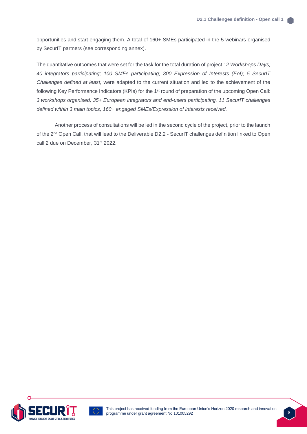opportunities and start engaging them. A total of 160+ SMEs participated in the 5 webinars organised by SecurIT partners (see corresponding annex).

The quantitative outcomes that were set for the task for the total duration of project : *2 Workshops Days; 40 integrators participating; 100 SMEs participating; 300 Expression of Interests (EoI); 5 SecurIT Challenges defined at least,* were adapted to the current situation and led to the achievement of the following Key Performance Indicators (KPIs) for the 1<sup>st</sup> round of preparation of the upcoming Open Call: *3 workshops organised, 35+ European integrators and end-users participating, 11 SecurIT challenges defined within 3 main topics, 160+ engaged SMEs/Expression of interests received.*

Another process of consultations will be led in the second cycle of the project, prior to the launch of the 2nd Open Call, that will lead to the Deliverable D2.2 - SecurIT challenges definition linked to Open call 2 due on December, 31<sup>st</sup> 2022.





This project has received funding from the European Union's Horizon 2020 research and innovation programme under grant agreement No 101005292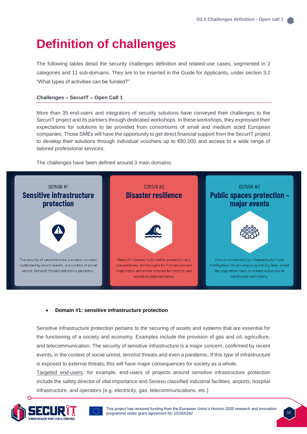# <span id="page-9-0"></span>**Definition of challenges**

The following tables detail the security challenges definition and related-use cases, segmented in 3 categories and 11 sub-domains. They are to be inserted in the Guide for Applicants, under section 3.2 "What types of activities can be funded?"

#### **Challenges – SecurIT – Open Call 1**

More than 35 end-users and integrators of security solutions have conveyed their challenges to the SecurIT project and its partners through dedicated workshops. In these workshops, they expressed their expectations for solutions to be provided from consortiums of small and medium sized European companies. Those SMEs will have the opportunity to get direct financial support from the SecurIT project to develop their solutions through individual vouchers up to €60,000 and access to a wide range of tailored professional services.

The challenges have been defined around 3 main domains:



#### • **Domain #1: sensitive infrastructure protection**

Sensitive infrastructure protection pertains to the securing of assets and systems that are essential for the functioning of a society and economy. Examples include the provision of gas and oil, agriculture, and telecommunication. The security of sensitive infrastructure is a major concern, confirmed by recent events, in the context of social unrest, terrorist threats and even a pandemic. If this type of infrastructure is exposed to external threats, this will have major consequences for society as a whole.

Targeted end-users: for example, end-users of projects around sensitive infrastructure protection include the safety director of vital importance and Seveso classified industrial facilities, airports, hospital infrastructure, and operators (e.g. electricity, gas, telecommunications, etc.)





This project has received funding from the European Union's Horizon 2020 research and innovation programme under grant agreement No 101005292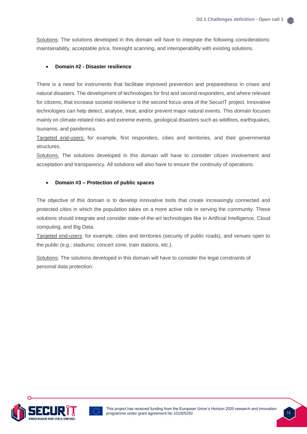Solutions: The solutions developed in this domain will have to integrate the following considerations: maintainability, acceptable price, foresight scanning, and interoperability with existing solutions.

#### • **Domain #2 - Disaster resilience**

There is a need for instruments that facilitate improved prevention and preparedness in crises and natural disasters. The development of technologies for first and second responders, and where relevant for citizens, that increase societal resilience is the second focus-area of the SecurIT project. Innovative technologies can help detect, analyse, treat, and/or prevent major natural events. This domain focuses mainly on climate-related risks and extreme events, geological disasters such as wildfires, earthquakes, tsunamis, and pandemics.

Targeted end-users: for example, first responders, cities and territories, and their governmental structures.

Solutions: The solutions developed in this domain will have to consider citizen involvement and acceptation and transparency. All solutions will also have to ensure the continuity of operations.

#### • **Domain #3 – Protection of public spaces**

The objective of this domain is to develop innovative tools that create increasingly connected and protected cities in which the population takes on a more active role in serving the community. These solutions should integrate and consider state-of-the-art technologies like in Artificial Intelligence, Cloud computing, and Big Data.

Targeted end-users: for example, cities and territories (security of public roads), and venues open to the public (e.g.: stadiums; concert zone, train stations, etc.).

Solutions: The solutions developed in this domain will have to consider the legal constraints of personal data protection.



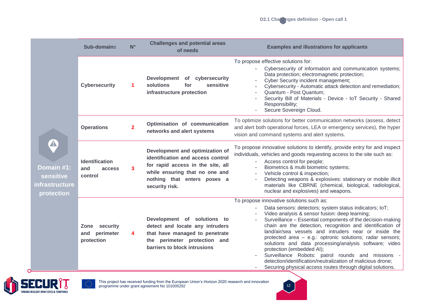|                                                                             |                                                           | <b>Challenges and potential areas</b><br>$N^{\circ}$<br><b>Sub-domains</b><br>of needs |                                                                                                                                                                                              |                                                                                                                                                                                                                                                                                                                                                                                                                                                                                                                                                                                                                                                                                | <b>Examples and illustrations for applicants</b> |  |
|-----------------------------------------------------------------------------|-----------------------------------------------------------|----------------------------------------------------------------------------------------|----------------------------------------------------------------------------------------------------------------------------------------------------------------------------------------------|--------------------------------------------------------------------------------------------------------------------------------------------------------------------------------------------------------------------------------------------------------------------------------------------------------------------------------------------------------------------------------------------------------------------------------------------------------------------------------------------------------------------------------------------------------------------------------------------------------------------------------------------------------------------------------|--------------------------------------------------|--|
| $\blacktriangle$<br>Domain #1:<br>sensitive<br>infrastructure<br>protection | <b>Cybersecurity</b>                                      |                                                                                        | Development of cybersecurity<br>solutions<br>sensitive<br>for<br>infrastructure protection                                                                                                   | To propose effective solutions for:<br>Cybersecurity of information and communication systems;<br>Data protection; electromagnetic protection;<br>Cyber Security incident management;<br>Cybersecurity - Automatic attack detection and remediation;<br>Quantum - Post Quantum;<br>Security Bill of Materials - Device - IoT Security - Shared<br>Responsibility;<br>Secure Sovereign Cloud.                                                                                                                                                                                                                                                                                   |                                                  |  |
|                                                                             | <b>Operations</b>                                         | $\mathbf{2}$                                                                           | Optimisation of communication<br>networks and alert systems                                                                                                                                  | To optimize solutions for better communication networks (assess, detect<br>and alert both operational forces, LEA or emergency services), the hyper<br>vision and command systems and alert systems.                                                                                                                                                                                                                                                                                                                                                                                                                                                                           |                                                  |  |
|                                                                             | <b>Identification</b><br>and<br>access<br>control         | 3                                                                                      | Development and optimization of<br>identification and access control<br>for rapid access in the site, all<br>while ensuring that no one and<br>nothing that enters poses a<br>security risk. | To propose innovative solutions to identify, provide entry for and inspect<br>individuals, vehicles and goods requesting access to the site such as:<br>Access control for people;<br>Biometrics & multi biometric systems;<br>Vehicle control & inspection;<br>Detecting weapons & explosives: stationary or mobile illicit<br>materials like CBRNE (chemical, biological, radiological,<br>nuclear and explosives) and weapons.                                                                                                                                                                                                                                              |                                                  |  |
|                                                                             | <b>Zone</b><br>security<br>perimeter<br>and<br>protection | 4                                                                                      | Development of solutions to<br>detect and locate any intruders<br>that have managed to penetrate<br>the perimeter protection and<br>barriers to block intrusions                             | To propose innovative solutions such as:<br>Data sensors: detectors; system status indicators; IoT;<br>Video analysis & sensor fusion: deep learning;<br>Surveillance - Essential components of the decision-making<br>chain are the detection, recognition and identification of<br>land/air/sea vessels and intruders near or inside the<br>protected area - e.g.: optronic solutions; radar sensors;<br>solutions and data processing/analysis software; video<br>protection (embedded AI);<br>Surveillance Robots: patrol rounds and missions<br>detection/identification/neutralization of malicious drone;<br>Securing physical access routes through digital solutions. |                                                  |  |





This project has received funding from the European Union's Horizon 2020 research and innovation programme under grant agreement No 101005292

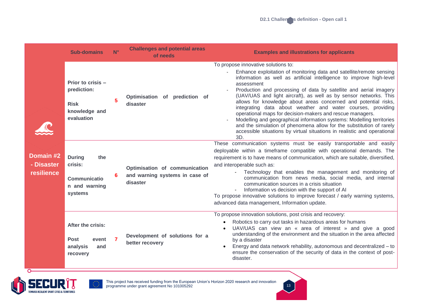|                                       | <b>Sub-domains</b>                                                                 | $N^{\circ}$ | <b>Challenges and potential areas</b><br>of needs                           | <b>Examples and illustrations for applicants</b>                                                                                                                                                                                                                                                                                                                                                                                                                                                                                                                                                                                                                                                                                                                               |
|---------------------------------------|------------------------------------------------------------------------------------|-------------|-----------------------------------------------------------------------------|--------------------------------------------------------------------------------------------------------------------------------------------------------------------------------------------------------------------------------------------------------------------------------------------------------------------------------------------------------------------------------------------------------------------------------------------------------------------------------------------------------------------------------------------------------------------------------------------------------------------------------------------------------------------------------------------------------------------------------------------------------------------------------|
| Domain #2<br>- Disaster<br>resilience | Prior to crisis -<br>prediction:<br><b>Risk</b><br>knowledge and<br>evaluation     | 5           | Optimisation of prediction of<br>disaster                                   | To propose innovative solutions to:<br>Enhance exploitation of monitoring data and satellite/remote sensing<br>information as well as artificial intelligence to improve high-level<br>assessment<br>Production and processing of data by satellite and aerial imagery<br>(UAV/UAS and light aircraft), as well as by sensor networks. This<br>allows for knowledge about areas concerned and potential risks,<br>integrating data about weather and water courses, providing<br>operational maps for decision-makers and rescue managers.<br>Modelling and geographical information systems: Modelling territories<br>and the simulation of phenomena allow for the substitution of rarely<br>accessible situations by virtual situations in realistic and operational<br>3D. |
|                                       | <b>During</b><br>the<br>crisis:<br><b>Communicatio</b><br>n and warning<br>systems |             | Optimisation of communication<br>and warning systems in case of<br>disaster | These communication systems must be easily transportable and easily<br>deployable within a timeframe compatible with operational demands. The<br>requirement is to have means of communication, which are suitable, diversified,<br>and interoperable such as:<br>Technology that enables the management and monitoring of<br>communication from news media, social media, and internal<br>communication sources in a crisis situation<br>Information vs decision with the support of AI<br>To propose innovative solutions to improve forecast / early warning systems,<br>advanced data management, Information update.                                                                                                                                                      |
|                                       | After the crisis:<br><b>Post</b><br>event<br>analysis<br>and<br>recovery           |             | Development of solutions for a<br>better recovery                           | To propose innovation solutions, post crisis and recovery:<br>Robotics to carry out tasks in hazardous areas for humans<br>UAV/UAS can view an « area of interest » and give a good<br>understanding of the environment and the situation in the area affected<br>by a disaster<br>Energy and data network rehability, autonomous and decentralized – to<br>ensure the conservation of the security of data in the context of post-<br>disaster.                                                                                                                                                                                                                                                                                                                               |



 $\circ$ 



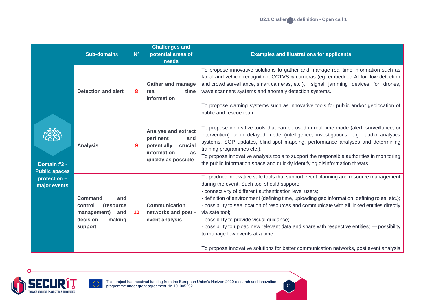|                                     | <b>Sub-domains</b>                                                                                     | $N^{\circ}$ | <b>Challenges and</b><br>potential areas of<br>needs                                                                 | <b>Examples and illustrations for applicants</b>                                                                                                                                                                                                                                                                                                                                                                                                                                                                                                                                                                                                                                           |
|-------------------------------------|--------------------------------------------------------------------------------------------------------|-------------|----------------------------------------------------------------------------------------------------------------------|--------------------------------------------------------------------------------------------------------------------------------------------------------------------------------------------------------------------------------------------------------------------------------------------------------------------------------------------------------------------------------------------------------------------------------------------------------------------------------------------------------------------------------------------------------------------------------------------------------------------------------------------------------------------------------------------|
|                                     | <b>Detection and alert</b>                                                                             | 8           | <b>Gather and manage</b><br>real<br>time<br>information                                                              | To propose innovative solutions to gather and manage real time information such as<br>facial and vehicle recognition; CCTVS & cameras (eg: embedded AI for flow detection<br>and crowd surveillance, smart cameras, etc.), signal jamming devices for drones,<br>wave scanners systems and anomaly detection systems.<br>To propose warning systems such as innovative tools for public and/or geolocation of<br>public and rescue team.                                                                                                                                                                                                                                                   |
| Domain #3 -<br><b>Public spaces</b> | <b>Analysis</b>                                                                                        | 9           | <b>Analyse and extract</b><br>pertinent<br>and<br>potentially<br>crucial<br>information<br>as<br>quickly as possible | To propose innovative tools that can be used in real-time mode (alert, surveillance, or<br>intervention) or in delayed mode (intelligence, investigations, e.g.: audio analytics<br>systems, SOP updates, blind-spot mapping, performance analyses and determining<br>training programmes etc.).<br>To propose innovative analysis tools to support the responsible authorities in monitoring<br>the public information space and quickly identifying disinformation threats                                                                                                                                                                                                               |
| protection -<br>major events        | <b>Command</b><br>and<br>control<br>(resource)<br>management)<br>and<br>decision-<br>making<br>support | 10          | <b>Communication</b><br>networks and post -<br>event analysis                                                        | To produce innovative safe tools that support event planning and resource management<br>during the event. Such tool should support:<br>- connectivity of different authentication level users;<br>- definition of environment (defining time, uploading geo information, defining roles, etc.);<br>- possibility to see location of resources and communicate with all linked entities directly<br>via safe tool;<br>- possibility to provide visual guidance;<br>- possibility to upload new relevant data and share with respective entities; - possibility<br>to manage few events at a time.<br>To propose innovative solutions for better communication networks, post event analysis |



C



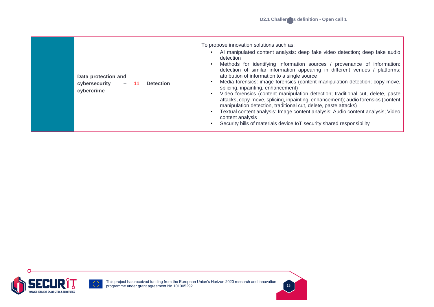15





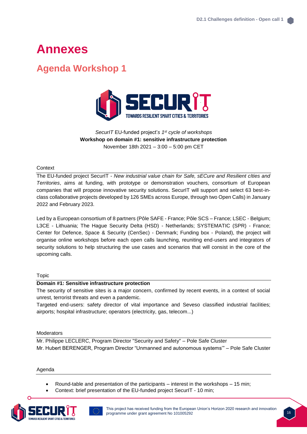# <span id="page-15-0"></span>**Annexes**

### <span id="page-15-1"></span>**Agenda Workshop 1**



*SecurIT* EU-funded project'*s 1st cycle of workshops* **Workshop on domain #1: sensitive infrastructure protection** November 18th 2021 – 3:00 – 5:00 pm CET

#### **Context**

The EU-funded project SecurIT - *New industrial value chain for Safe, sECure and Resilient cIties and Territories*, aims at funding, with prototype or demonstration vouchers, consortium of European companies that will propose innovative security solutions. SecurIT will support and select 63 best-inclass collaborative projects developed by 126 SMEs across Europe, through two Open Calls) in January 2022 and February 2023.

Led by a European consortium of 8 partners (Pôle SAFE - France; Pôle SCS – France; LSEC - Belgium; L3CE - Lithuania; The Hague Security Delta (HSD) - Netherlands; SYSTEMATIC (SPR) - France; Center for Defence, Space & Security (CenSec) - Denmark; Funding box - Poland), the project will organise online workshops before each open calls launching, reuniting end-users and integrators of security solutions to help structuring the use cases and scenarios that will consist in the core of the upcoming calls.

#### Topic

#### **Domain #1: Sensitive infrastructure protection**

The security of sensitive sites is a major concern, confirmed by recent events, in a context of social unrest, terrorist threats and even a pandemic.

Targeted end-users: safety director of vital importance and Seveso classified industrial facilities; airports; hospital infrastructure; operators (electricity, gas, telecom...)

#### Moderators

Mr. Philippe LECLERC, Program Director "Security and Safety" – Pole Safe Cluster Mr. Hubert BERENGER, Program Director "Unmanned and autonomous systems'" – Pole Safe Cluster

Agenda

- Round-table and presentation of the participants interest in the workshops 15 min;
- Context: brief presentation of the EU-funded project SecurIT 10 min;



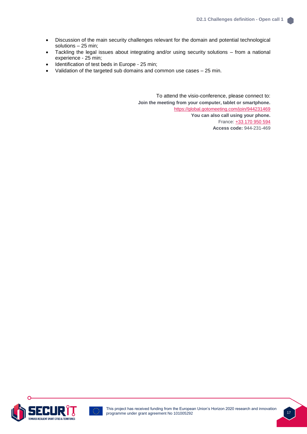- Discussion of the main security challenges relevant for the domain and potential technological solutions – 25 min;
- Tackling the legal issues about integrating and/or using security solutions from a national experience - 25 min;
- Identification of test beds in Europe 25 min;
- Validation of the targeted sub domains and common use cases 25 min.

To attend the visio-conference, please connect to: **Join the meeting from your computer, tablet or smartphone.** <https://global.gotomeeting.com/join/944231469> **You can also call using your phone.** France: [+33 170 950 594](tel:+33170950594,,944231469) **Access code:** 944-231-469

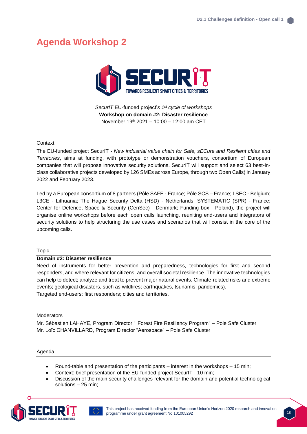## <span id="page-17-0"></span>**Agenda Workshop 2**



*SecurIT* EU-funded project'*s 1st cycle of workshops* **Workshop on domain #2: Disaster resilience** November 19th 2021 – 10:00 – 12:00 am CET

#### **Context**

The EU-funded project SecurIT - *New industrial value chain for Safe, sECure and Resilient cIties and Territories*, aims at funding, with prototype or demonstration vouchers, consortium of European companies that will propose innovative security solutions. SecurIT will support and select 63 best-inclass collaborative projects developed by 126 SMEs across Europe, through two Open Calls) in January 2022 and February 2023.

Led by a European consortium of 8 partners (Pôle SAFE - France; Pôle SCS – France; LSEC - Belgium; L3CE - Lithuania; The Hague Security Delta (HSD) - Netherlands; SYSTEMATIC (SPR) - France; Center for Defence, Space & Security (CenSec) - Denmark; Funding box - Poland), the project will organise online workshops before each open calls launching, reuniting end-users and integrators of security solutions to help structuring the use cases and scenarios that will consist in the core of the upcoming calls.

Topic

#### **Domain #2: Disaster resilience**

Need of instruments for better prevention and preparedness, technologies for first and second responders, and where relevant for citizens, and overall societal resilience. The innovative technologies can help to detect; analyze and treat to prevent major natural events. Climate-related risks and extreme events; geological disasters, such as wildfires; earthquakes, tsunamis; pandemics). Targeted end-users: first responders; cities and territories.

**Moderators** 

Mr. Sébastien LAHAYE, Program Director " Forest Fire Resiliency Program" – Pole Safe Cluster Mr. Loïc CHANVILLARD, Program Director "Aerospace" – Pole Safe Cluster

#### Agenda

- Round-table and presentation of the participants interest in the workshops 15 min;
- Context: brief presentation of the EU-funded project SecurIT 10 min;
- Discussion of the main security challenges relevant for the domain and potential technological solutions – 25 min;

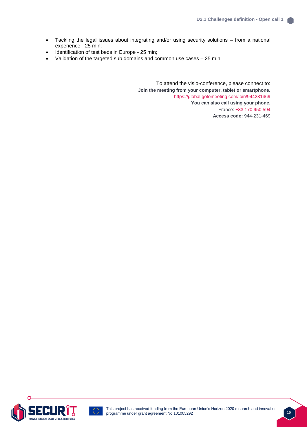- Tackling the legal issues about integrating and/or using security solutions from a national experience - 25 min;
- Identification of test beds in Europe 25 min;
- Validation of the targeted sub domains and common use cases 25 min.

To attend the visio-conference, please connect to: **Join the meeting from your computer, tablet or smartphone.** <https://global.gotomeeting.com/join/944231469> **You can also call using your phone.** France: [+33 170 950 594](tel:+33170950594,,944231469) **Access code:** 944-231-469

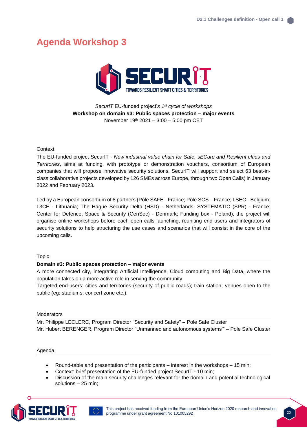## <span id="page-19-0"></span>**Agenda Workshop 3**



*SecurIT* EU-funded project'*s 1st cycle of workshops* **Workshop on domain #3: Public spaces protection – major events** November 19th 2021 – 3:00 – 5:00 pm CET

#### **Context**

The EU-funded project SecurIT - *New industrial value chain for Safe, sECure and Resilient cIties and Territories*, aims at funding, with prototype or demonstration vouchers, consortium of European companies that will propose innovative security solutions. SecurIT will support and select 63 best-inclass collaborative projects developed by 126 SMEs across Europe, through two Open Calls) in January 2022 and February 2023.

Led by a European consortium of 8 partners (Pôle SAFE - France; Pôle SCS – France; LSEC - Belgium; L3CE - Lithuania; The Hague Security Delta (HSD) - Netherlands; SYSTEMATIC (SPR) - France; Center for Defence, Space & Security (CenSec) - Denmark; Funding box - Poland), the project will organise online workshops before each open calls launching, reuniting end-users and integrators of security solutions to help structuring the use cases and scenarios that will consist in the core of the upcoming calls.

#### Topic

#### **Domain #3: Public spaces protection – major events**

A more connected city, integrating Artificial Intelligence, Cloud computing and Big Data, where the population takes on a more active role in serving the community

Targeted end-users: cities and territories (security of public roads); train station; venues open to the public (eg: stadiums; concert zone etc.).

#### **Moderators**

Mr. Philippe LECLERC, Program Director "Security and Safety" – Pole Safe Cluster Mr. Hubert BERENGER, Program Director "Unmanned and autonomous systems'" – Pole Safe Cluster

#### Agenda

- Round-table and presentation of the participants interest in the workshops 15 min;
- Context: brief presentation of the EU-funded project SecurIT 10 min;
- Discussion of the main security challenges relevant for the domain and potential technological solutions – 25 min;

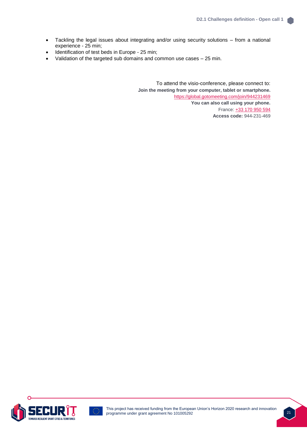- Tackling the legal issues about integrating and/or using security solutions from a national experience - 25 min;
- Identification of test beds in Europe 25 min;
- Validation of the targeted sub domains and common use cases 25 min.

To attend the visio-conference, please connect to: **Join the meeting from your computer, tablet or smartphone.** <https://global.gotomeeting.com/join/944231469> **You can also call using your phone.** France: [+33 170 950 594](tel:+33170950594,,944231469) **Access code:** 944-231-469